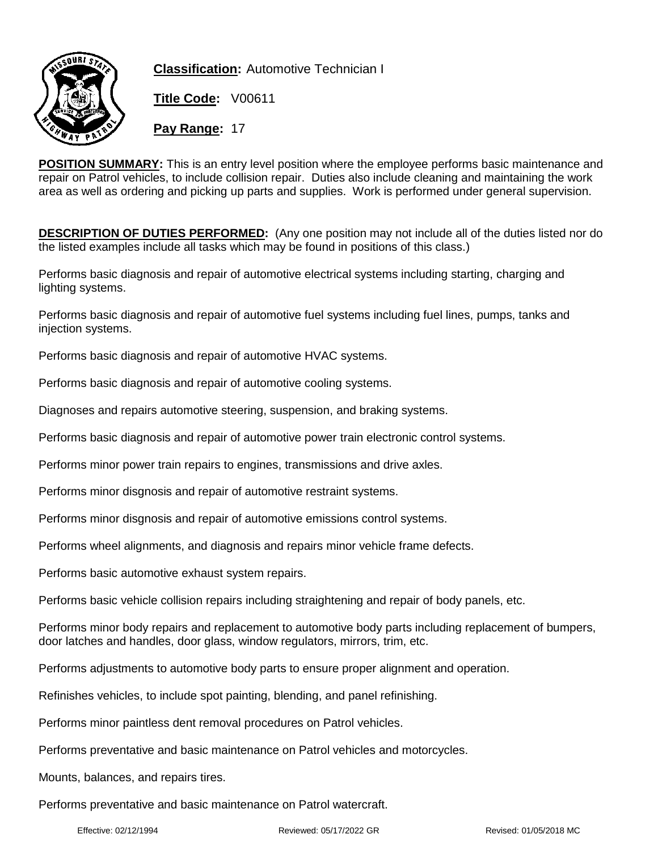

**Classification:** Automotive Technician I

**Title Code:** V00611

**Pay Range:** 17

**POSITION SUMMARY:** This is an entry level position where the employee performs basic maintenance and repair on Patrol vehicles, to include collision repair. Duties also include cleaning and maintaining the work area as well as ordering and picking up parts and supplies. Work is performed under general supervision.

**DESCRIPTION OF DUTIES PERFORMED:** (Any one position may not include all of the duties listed nor do the listed examples include all tasks which may be found in positions of this class.)

Performs basic diagnosis and repair of automotive electrical systems including starting, charging and lighting systems.

Performs basic diagnosis and repair of automotive fuel systems including fuel lines, pumps, tanks and injection systems.

Performs basic diagnosis and repair of automotive HVAC systems.

Performs basic diagnosis and repair of automotive cooling systems.

Diagnoses and repairs automotive steering, suspension, and braking systems.

Performs basic diagnosis and repair of automotive power train electronic control systems.

Performs minor power train repairs to engines, transmissions and drive axles.

Performs minor disgnosis and repair of automotive restraint systems.

Performs minor disgnosis and repair of automotive emissions control systems.

Performs wheel alignments, and diagnosis and repairs minor vehicle frame defects.

Performs basic automotive exhaust system repairs.

Performs basic vehicle collision repairs including straightening and repair of body panels, etc.

Performs minor body repairs and replacement to automotive body parts including replacement of bumpers, door latches and handles, door glass, window regulators, mirrors, trim, etc.

Performs adjustments to automotive body parts to ensure proper alignment and operation.

Refinishes vehicles, to include spot painting, blending, and panel refinishing.

Performs minor paintless dent removal procedures on Patrol vehicles.

Performs preventative and basic maintenance on Patrol vehicles and motorcycles.

Mounts, balances, and repairs tires.

Performs preventative and basic maintenance on Patrol watercraft.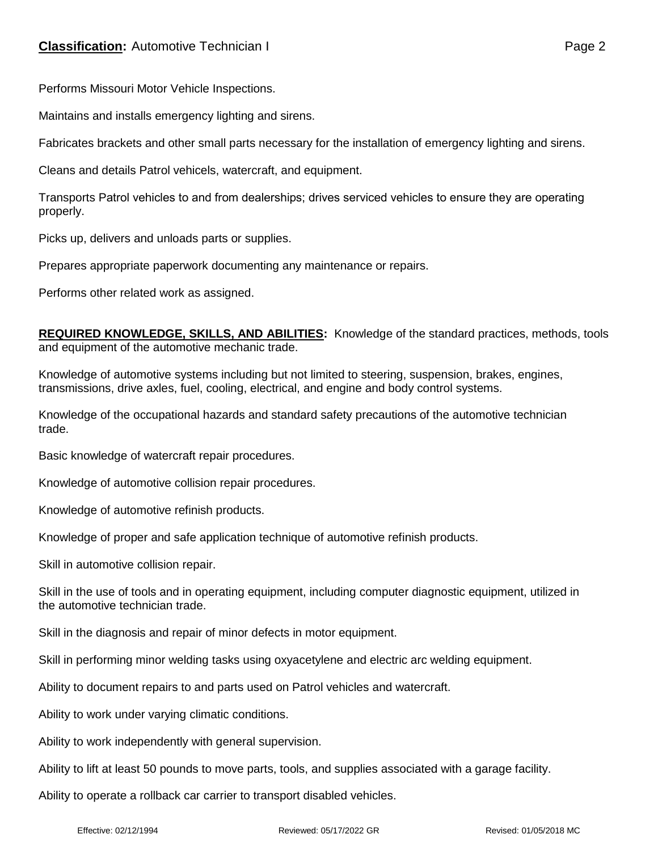Performs Missouri Motor Vehicle Inspections.

Maintains and installs emergency lighting and sirens.

Fabricates brackets and other small parts necessary for the installation of emergency lighting and sirens.

Cleans and details Patrol vehicels, watercraft, and equipment.

Transports Patrol vehicles to and from dealerships; drives serviced vehicles to ensure they are operating properly.

Picks up, delivers and unloads parts or supplies.

Prepares appropriate paperwork documenting any maintenance or repairs.

Performs other related work as assigned.

**REQUIRED KNOWLEDGE, SKILLS, AND ABILITIES:** Knowledge of the standard practices, methods, tools and equipment of the automotive mechanic trade.

Knowledge of automotive systems including but not limited to steering, suspension, brakes, engines, transmissions, drive axles, fuel, cooling, electrical, and engine and body control systems.

Knowledge of the occupational hazards and standard safety precautions of the automotive technician trade.

Basic knowledge of watercraft repair procedures.

Knowledge of automotive collision repair procedures.

Knowledge of automotive refinish products.

Knowledge of proper and safe application technique of automotive refinish products.

Skill in automotive collision repair.

Skill in the use of tools and in operating equipment, including computer diagnostic equipment, utilized in the automotive technician trade.

Skill in the diagnosis and repair of minor defects in motor equipment.

Skill in performing minor welding tasks using oxyacetylene and electric arc welding equipment.

Ability to document repairs to and parts used on Patrol vehicles and watercraft.

Ability to work under varying climatic conditions.

Ability to work independently with general supervision.

Ability to lift at least 50 pounds to move parts, tools, and supplies associated with a garage facility.

Ability to operate a rollback car carrier to transport disabled vehicles.